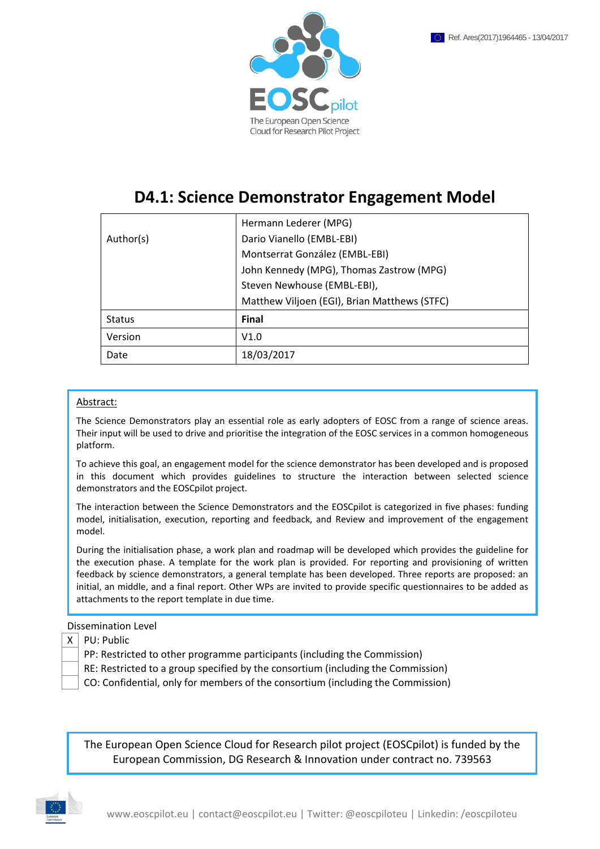

# **D4.1: Science Demonstrator Engagement Model**

|               | Hermann Lederer (MPG)                        |  |
|---------------|----------------------------------------------|--|
| Author(s)     | Dario Vianello (EMBL-EBI)                    |  |
|               | Montserrat González (EMBL-EBI)               |  |
|               | John Kennedy (MPG), Thomas Zastrow (MPG)     |  |
|               | Steven Newhouse (EMBL-EBI),                  |  |
|               | Matthew Viljoen (EGI), Brian Matthews (STFC) |  |
| <b>Status</b> | <b>Final</b>                                 |  |
| Version       | V1.0                                         |  |
| Date          | 18/03/2017                                   |  |

#### Abstract:

The Science Demonstrators play an essential role as early adopters of EOSC from a range of science areas. Their input will be used to drive and prioritise the integration of the EOSC services in a common homogeneous platform.

To achieve this goal, an engagement model for the science demonstrator has been developed and is proposed in this document which provides guidelines to structure the interaction between selected science demonstrators and the EOSCpilot project.

The interaction between the Science Demonstrators and the EOSCpilot is categorized in five phases: funding model, initialisation, execution, reporting and feedback, and Review and improvement of the engagement model.

During the initialisation phase, a work plan and roadmap will be developed which provides the guideline for the execution phase. A template for the work plan is provided. For reporting and provisioning of written feedback by science demonstrators, a general template has been developed. Three reports are proposed: an initial, an middle, and a final report. Other WPs are invited to provide specific questionnaires to be added as attachments to the report template in due time.

#### Dissemination Level

 $X \mid PU$ : Public

- PP: Restricted to other programme participants (including the Commission)
- RE: Restricted to a group specified by the consortium (including the Commission)
- CO: Confidential, only for members of the consortium (including the Commission)

The European Open Science Cloud for Research pilot project (EOSCpilot) is funded by the European Commission, DG Research & Innovation under contract no. 739563

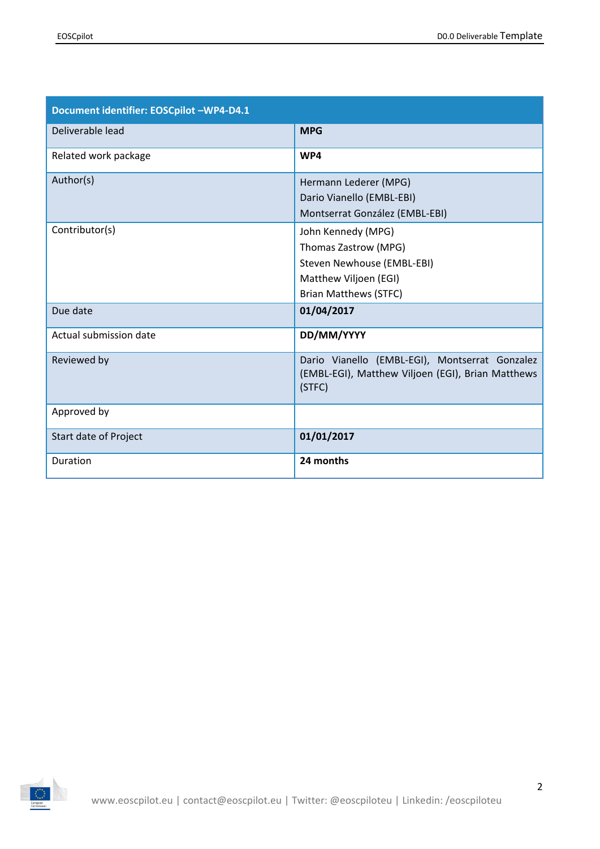| Document identifier: EOSCpilot-WP4-D4.1 |                                                                                                                                   |  |
|-----------------------------------------|-----------------------------------------------------------------------------------------------------------------------------------|--|
| Deliverable lead                        | <b>MPG</b>                                                                                                                        |  |
| Related work package                    | WP4                                                                                                                               |  |
| Author(s)                               | Hermann Lederer (MPG)<br>Dario Vianello (EMBL-EBI)<br>Montserrat González (EMBL-EBI)                                              |  |
| Contributor(s)                          | John Kennedy (MPG)<br>Thomas Zastrow (MPG)<br>Steven Newhouse (EMBL-EBI)<br>Matthew Viljoen (EGI)<br><b>Brian Matthews (STFC)</b> |  |
| Due date                                | 01/04/2017                                                                                                                        |  |
| Actual submission date                  | DD/MM/YYYY                                                                                                                        |  |
| Reviewed by                             | Dario Vianello (EMBL-EGI), Montserrat Gonzalez<br>(EMBL-EGI), Matthew Viljoen (EGI), Brian Matthews<br>(STFC)                     |  |
| Approved by                             |                                                                                                                                   |  |
| Start date of Project                   | 01/01/2017                                                                                                                        |  |
| Duration                                | 24 months                                                                                                                         |  |

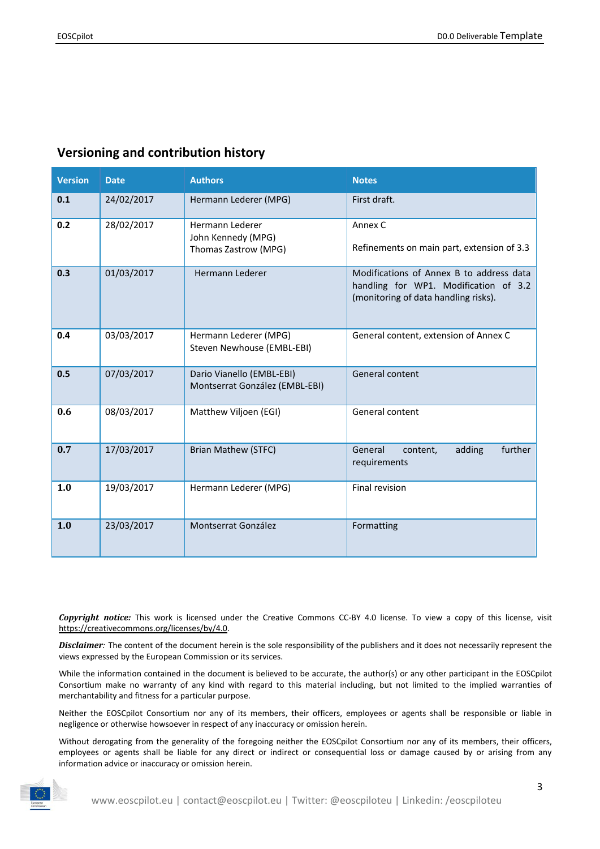### **Versioning and contribution history**

| <b>Version</b> | <b>Date</b> | <b>Authors</b>                                                                                                                               | <b>Notes</b>                                             |  |
|----------------|-------------|----------------------------------------------------------------------------------------------------------------------------------------------|----------------------------------------------------------|--|
| 0.1            | 24/02/2017  | Hermann Lederer (MPG)                                                                                                                        | First draft.                                             |  |
| 0.2            | 28/02/2017  | Hermann Lederer<br>John Kennedy (MPG)<br>Thomas Zastrow (MPG)                                                                                | Annex C<br>Refinements on main part, extension of 3.3    |  |
| 0.3            | 01/03/2017  | Modifications of Annex B to address data<br>Hermann Lederer<br>handling for WP1. Modification of 3.2<br>(monitoring of data handling risks). |                                                          |  |
| 0.4            | 03/03/2017  | Hermann Lederer (MPG)<br>General content, extension of Annex C<br>Steven Newhouse (EMBL-EBI)                                                 |                                                          |  |
| 0.5            | 07/03/2017  | Dario Vianello (EMBL-EBI)<br>Montserrat González (EMBL-EBI)                                                                                  | General content                                          |  |
| 0.6            | 08/03/2017  | Matthew Viljoen (EGI)                                                                                                                        | General content                                          |  |
| 0.7            | 17/03/2017  | <b>Brian Mathew (STFC)</b>                                                                                                                   | further<br>General<br>adding<br>content,<br>requirements |  |
| 1.0            | 19/03/2017  | Hermann Lederer (MPG)                                                                                                                        | Final revision                                           |  |
| 1.0            | 23/03/2017  | Montserrat González<br>Formatting                                                                                                            |                                                          |  |

*Copyright notice:* This work is licensed under the Creative Commons CC-BY 4.0 license. To view a copy of this license, visit [https://creativecommons.org/licenses/by/4.0.](https://creativecommons.org/licenses/by/4.0)

*Disclaimer:* The content of the document herein is the sole responsibility of the publishers and it does not necessarily represent the views expressed by the European Commission or its services.

While the information contained in the document is believed to be accurate, the author(s) or any other participant in the EOSCpilot Consortium make no warranty of any kind with regard to this material including, but not limited to the implied warranties of merchantability and fitness for a particular purpose.

Neither the EOSCpilot Consortium nor any of its members, their officers, employees or agents shall be responsible or liable in negligence or otherwise howsoever in respect of any inaccuracy or omission herein.

Without derogating from the generality of the foregoing neither the EOSCpilot Consortium nor any of its members, their officers, employees or agents shall be liable for any direct or indirect or consequential loss or damage caused by or arising from any information advice or inaccuracy or omission herein.

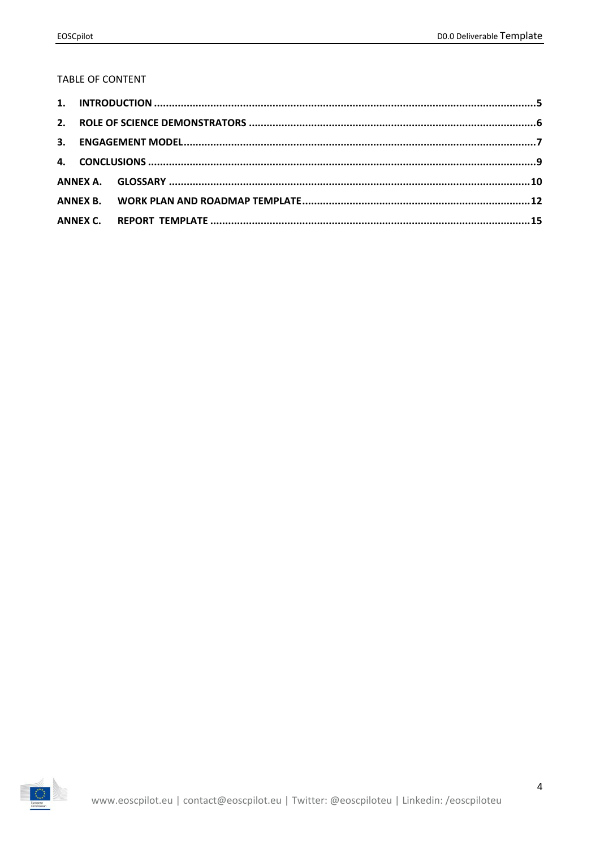#### TABLE OF CONTENT

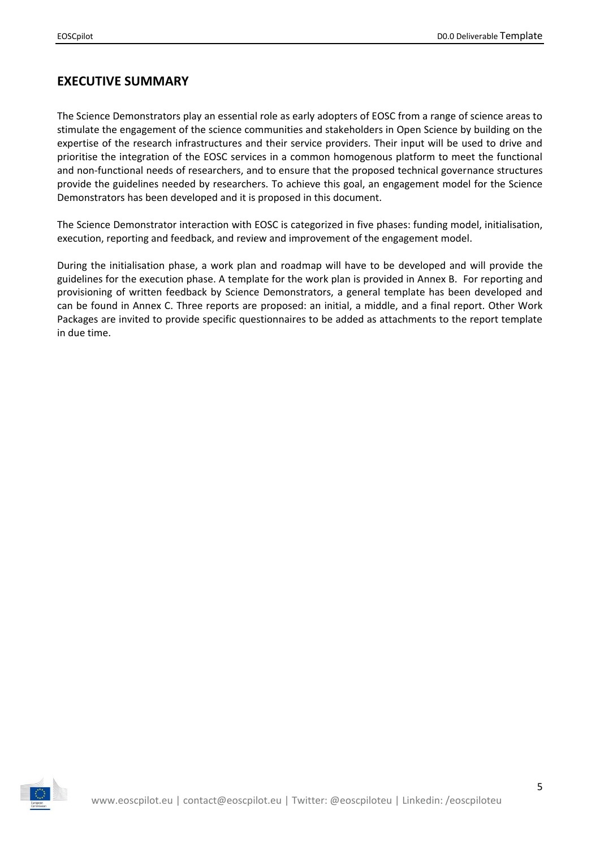### **EXECUTIVE SUMMARY**

The Science Demonstrators play an essential role as early adopters of EOSC from a range of science areas to stimulate the engagement of the science communities and stakeholders in Open Science by building on the expertise of the research infrastructures and their service providers. Their input will be used to drive and prioritise the integration of the EOSC services in a common homogenous platform to meet the functional and non-functional needs of researchers, and to ensure that the proposed technical governance structures provide the guidelines needed by researchers. To achieve this goal, an engagement model for the Science Demonstrators has been developed and it is proposed in this document.

The Science Demonstrator interaction with EOSC is categorized in five phases: funding model, initialisation, execution, reporting and feedback, and review and improvement of the engagement model.

During the initialisation phase, a work plan and roadmap will have to be developed and will provide the guidelines for the execution phase. A template for the work plan is provided in Annex B. For reporting and provisioning of written feedback by Science Demonstrators, a general template has been developed and can be found in Annex C. Three reports are proposed: an initial, a middle, and a final report. Other Work Packages are invited to provide specific questionnaires to be added as attachments to the report template in due time.

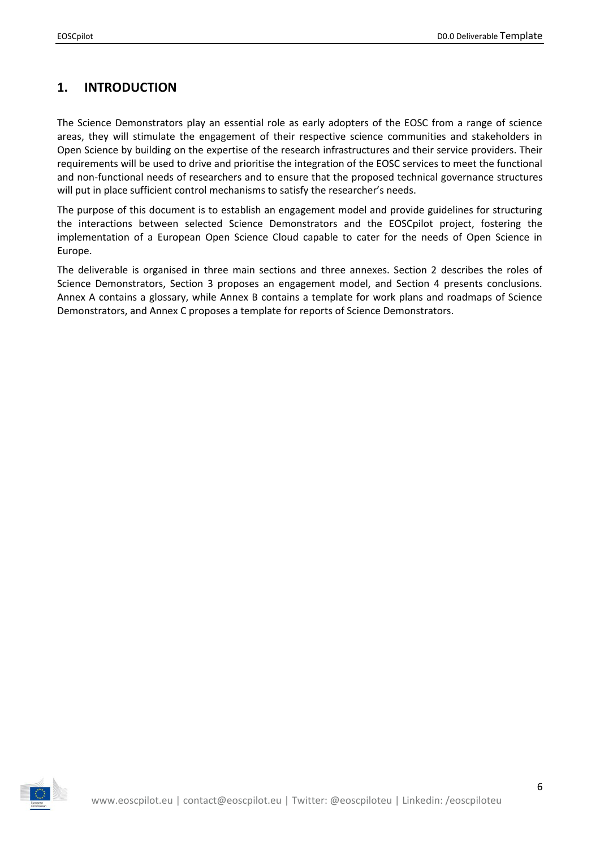# <span id="page-5-0"></span>**1. INTRODUCTION**

The Science Demonstrators play an essential role as early adopters of the EOSC from a range of science areas, they will stimulate the engagement of their respective science communities and stakeholders in Open Science by building on the expertise of the research infrastructures and their service providers. Their requirements will be used to drive and prioritise the integration of the EOSC services to meet the functional and non-functional needs of researchers and to ensure that the proposed technical governance structures will put in place sufficient control mechanisms to satisfy the researcher's needs.

The purpose of this document is to establish an engagement model and provide guidelines for structuring the interactions between selected Science Demonstrators and the EOSCpilot project, fostering the implementation of a European Open Science Cloud capable to cater for the needs of Open Science in Europe.

The deliverable is organised in three main sections and three annexes. Section 2 describes the roles of Science Demonstrators, Section 3 proposes an engagement model, and Section 4 presents conclusions. Annex A contains a glossary, while Annex B contains a template for work plans and roadmaps of Science Demonstrators, and Annex C proposes a template for reports of Science Demonstrators.

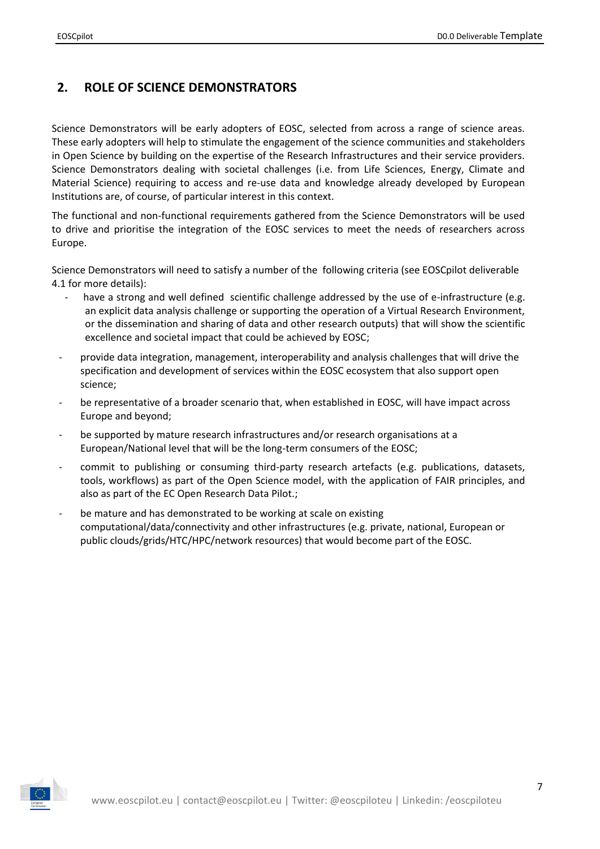# <span id="page-6-0"></span>**2. ROLE OF SCIENCE DEMONSTRATORS**

Science Demonstrators will be early adopters of EOSC, selected from across a range of science areas. These early adopters will help to stimulate the engagement of the science communities and stakeholders in Open Science by building on the expertise of the Research Infrastructures and their service providers. Science Demonstrators dealing with societal challenges (i.e. from Life Sciences, Energy, Climate and Material Science) requiring to access and re-use data and knowledge already developed by European Institutions are, of course, of particular interest in this context.

The functional and non-functional requirements gathered from the Science Demonstrators will be used to drive and prioritise the integration of the EOSC services to meet the needs of researchers across Europe.

Science Demonstrators will need to satisfy a number of the following criteria (see EOSCpilot deliverable 4.1 for more details):

- have a strong and well defined scientific challenge addressed by the use of e-infrastructure (e.g. an explicit data analysis challenge or supporting the operation of a Virtual Research Environment, or the dissemination and sharing of data and other research outputs) that will show the scientific excellence and societal impact that could be achieved by EOSC;
- provide data integration, management, interoperability and analysis challenges that will drive the specification and development of services within the EOSC ecosystem that also support open science;
- be representative of a broader scenario that, when established in EOSC, will have impact across Europe and beyond;
- be supported by mature research infrastructures and/or research organisations at a European/National level that will be the long-term consumers of the EOSC;
- commit to publishing or consuming third-party research artefacts (e.g. publications, datasets, tools, workflows) as part of the Open Science model, with the application of FAIR principles, and also as part of the EC Open Research Data Pilot.;
- be mature and has demonstrated to be working at scale on existing computational/data/connectivity and other infrastructures (e.g. private, national, European or public clouds/grids/HTC/HPC/network resources) that would become part of the EOSC.

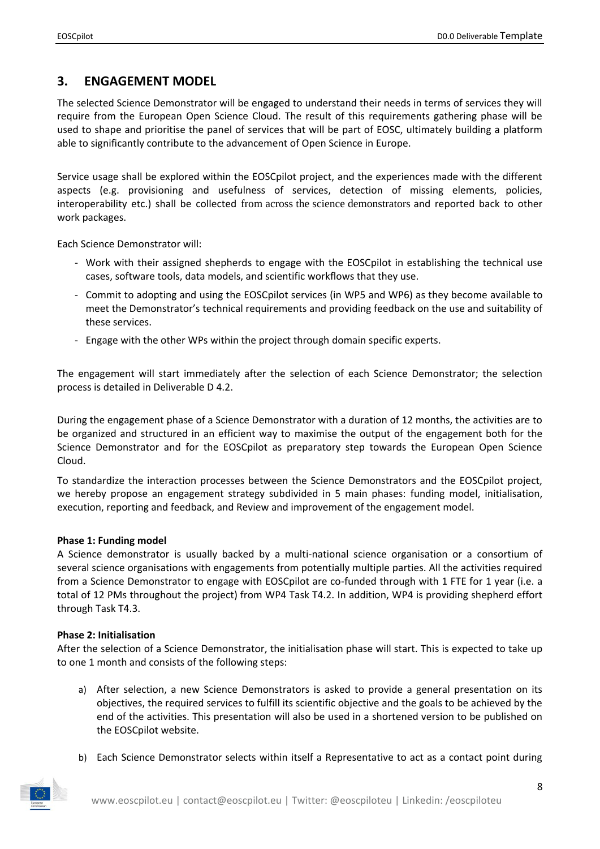### <span id="page-7-0"></span>**3. ENGAGEMENT MODEL**

The selected Science Demonstrator will be engaged to understand their needs in terms of services they will require from the European Open Science Cloud. The result of this requirements gathering phase will be used to shape and prioritise the panel of services that will be part of EOSC, ultimately building a platform able to significantly contribute to the advancement of Open Science in Europe.

Service usage shall be explored within the EOSCpilot project, and the experiences made with the different aspects (e.g. provisioning and usefulness of services, detection of missing elements, policies, interoperability etc.) shall be collected from across the science demonstrators and reported back to other work packages.

Each Science Demonstrator will:

- Work with their assigned shepherds to engage with the EOSCpilot in establishing the technical use cases, software tools, data models, and scientific workflows that they use.
- Commit to adopting and using the EOSCpilot services (in WP5 and WP6) as they become available to meet the Demonstrator's technical requirements and providing feedback on the use and suitability of these services.
- Engage with the other WPs within the project through domain specific experts.

The engagement will start immediately after the selection of each Science Demonstrator; the selection process is detailed in Deliverable D 4.2.

During the engagement phase of a Science Demonstrator with a duration of 12 months, the activities are to be organized and structured in an efficient way to maximise the output of the engagement both for the Science Demonstrator and for the EOSCpilot as preparatory step towards the European Open Science Cloud.

To standardize the interaction processes between the Science Demonstrators and the EOSCpilot project, we hereby propose an engagement strategy subdivided in 5 main phases: funding model, initialisation, execution, reporting and feedback, and Review and improvement of the engagement model.

#### **Phase 1: Funding model**

A Science demonstrator is usually backed by a multi-national science organisation or a consortium of several science organisations with engagements from potentially multiple parties. All the activities required from a Science Demonstrator to engage with EOSCpilot are co-funded through with 1 FTE for 1 year (i.e. a total of 12 PMs throughout the project) from WP4 Task T4.2. In addition, WP4 is providing shepherd effort through Task T4.3.

#### **Phase 2: Initialisation**

After the selection of a Science Demonstrator, the initialisation phase will start. This is expected to take up to one 1 month and consists of the following steps:

- a) After selection, a new Science Demonstrators is asked to provide a general presentation on its objectives, the required services to fulfill its scientific objective and the goals to be achieved by the end of the activities. This presentation will also be used in a shortened version to be published on the EOSCpilot website.
- b) Each Science Demonstrator selects within itself a Representative to act as a contact point during

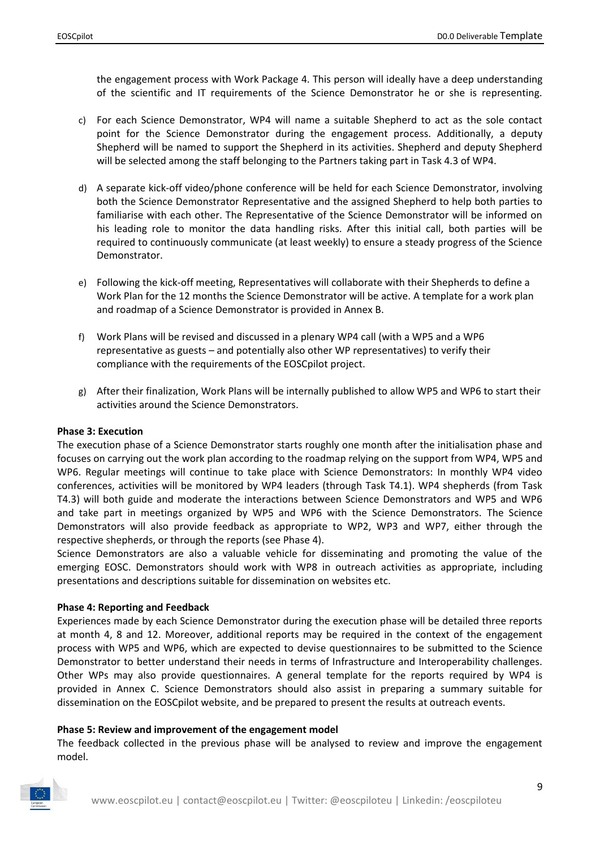the engagement process with Work Package 4. This person will ideally have a deep understanding of the scientific and IT requirements of the Science Demonstrator he or she is representing.

- c) For each Science Demonstrator, WP4 will name a suitable Shepherd to act as the sole contact point for the Science Demonstrator during the engagement process. Additionally, a deputy Shepherd will be named to support the Shepherd in its activities. Shepherd and deputy Shepherd will be selected among the staff belonging to the Partners taking part in Task 4.3 of WP4.
- d) A separate kick-off video/phone conference will be held for each Science Demonstrator, involving both the Science Demonstrator Representative and the assigned Shepherd to help both parties to familiarise with each other. The Representative of the Science Demonstrator will be informed on his leading role to monitor the data handling risks. After this initial call, both parties will be required to continuously communicate (at least weekly) to ensure a steady progress of the Science Demonstrator.
- e) Following the kick-off meeting, Representatives will collaborate with their Shepherds to define a Work Plan for the 12 months the Science Demonstrator will be active. A template for a work plan and roadmap of a Science Demonstrator is provided in Annex B.
- f) Work Plans will be revised and discussed in a plenary WP4 call (with a WP5 and a WP6 representative as guests – and potentially also other WP representatives) to verify their compliance with the requirements of the EOSCpilot project.
- g) After their finalization, Work Plans will be internally published to allow WP5 and WP6 to start their activities around the Science Demonstrators.

#### **Phase 3: Execution**

The execution phase of a Science Demonstrator starts roughly one month after the initialisation phase and focuses on carrying out the work plan according to the roadmap relying on the support from WP4, WP5 and WP6. Regular meetings will continue to take place with Science Demonstrators: In monthly WP4 video conferences, activities will be monitored by WP4 leaders (through Task T4.1). WP4 shepherds (from Task T4.3) will both guide and moderate the interactions between Science Demonstrators and WP5 and WP6 and take part in meetings organized by WP5 and WP6 with the Science Demonstrators. The Science Demonstrators will also provide feedback as appropriate to WP2, WP3 and WP7, either through the respective shepherds, or through the reports (see Phase 4).

Science Demonstrators are also a valuable vehicle for disseminating and promoting the value of the emerging EOSC. Demonstrators should work with WP8 in outreach activities as appropriate, including presentations and descriptions suitable for dissemination on websites etc.

#### **Phase 4: Reporting and Feedback**

Experiences made by each Science Demonstrator during the execution phase will be detailed three reports at month 4, 8 and 12. Moreover, additional reports may be required in the context of the engagement process with WP5 and WP6, which are expected to devise questionnaires to be submitted to the Science Demonstrator to better understand their needs in terms of Infrastructure and Interoperability challenges. Other WPs may also provide questionnaires. A general template for the reports required by WP4 is provided in Annex C. Science Demonstrators should also assist in preparing a summary suitable for dissemination on the EOSCpilot website, and be prepared to present the results at outreach events.

#### **Phase 5: Review and improvement of the engagement model**

The feedback collected in the previous phase will be analysed to review and improve the engagement model.

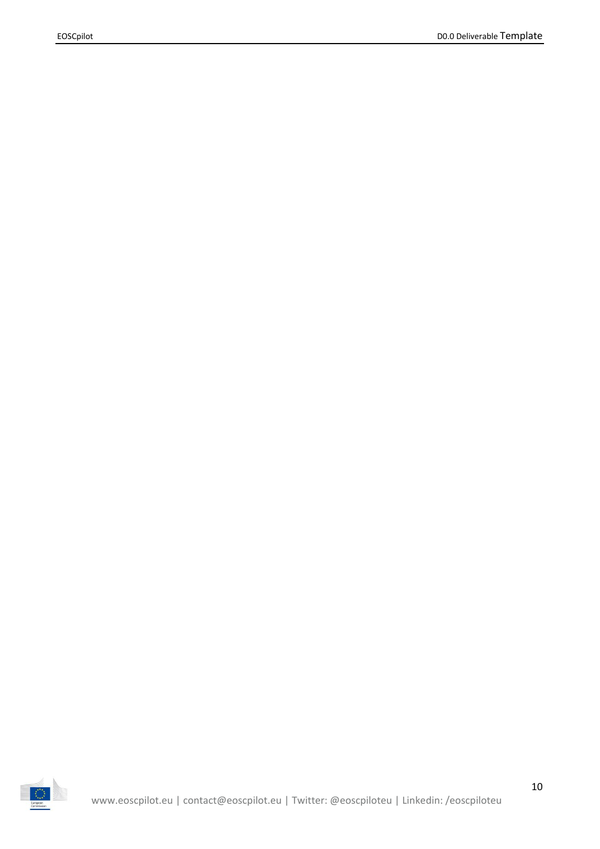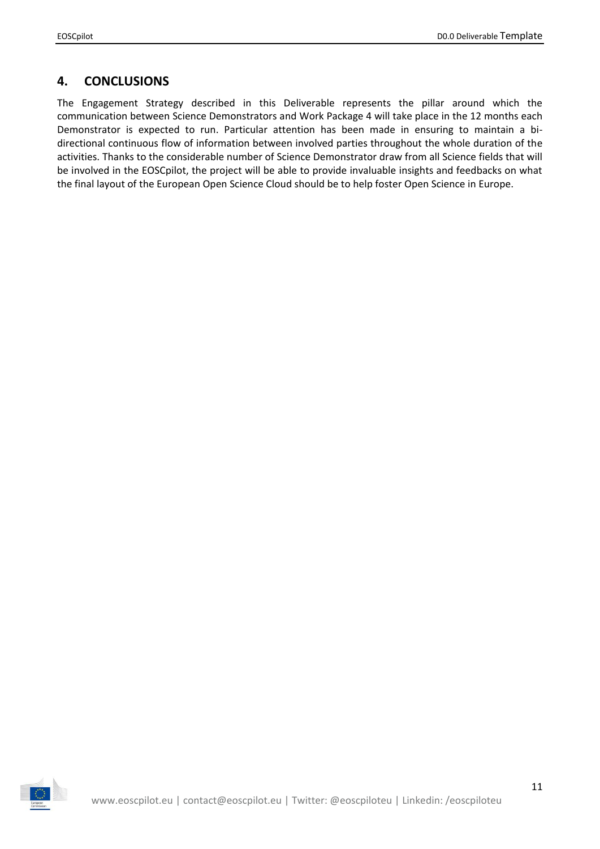### <span id="page-10-0"></span>**4. CONCLUSIONS**

The Engagement Strategy described in this Deliverable represents the pillar around which the communication between Science Demonstrators and Work Package 4 will take place in the 12 months each Demonstrator is expected to run. Particular attention has been made in ensuring to maintain a bidirectional continuous flow of information between involved parties throughout the whole duration of the activities. Thanks to the considerable number of Science Demonstrator draw from all Science fields that will be involved in the EOSCpilot, the project will be able to provide invaluable insights and feedbacks on what the final layout of the European Open Science Cloud should be to help foster Open Science in Europe.

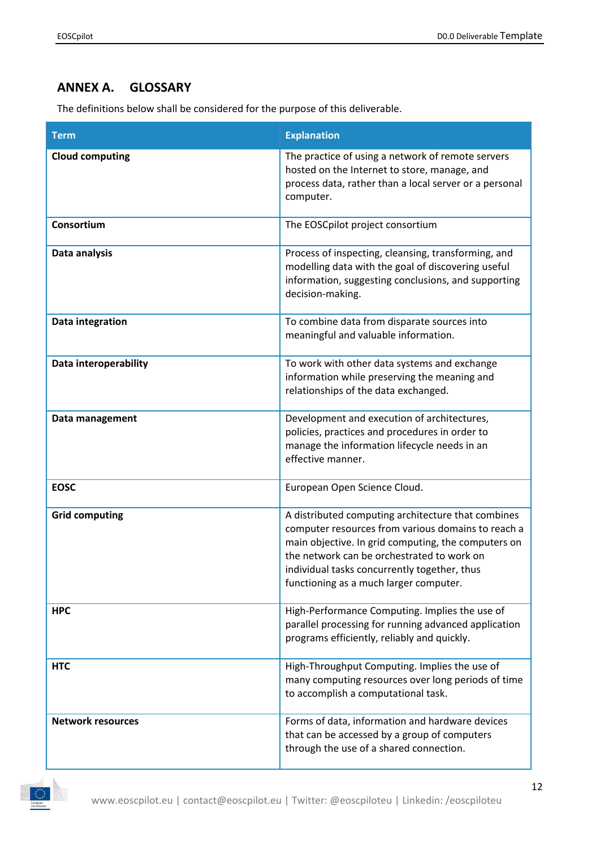# <span id="page-11-0"></span>**ANNEX A. GLOSSARY**

The definitions below shall be considered for the purpose of this deliverable.

| <b>Term</b>              | <b>Explanation</b>                                                                                                                                                                                                                                                                                      |
|--------------------------|---------------------------------------------------------------------------------------------------------------------------------------------------------------------------------------------------------------------------------------------------------------------------------------------------------|
| <b>Cloud computing</b>   | The practice of using a network of remote servers<br>hosted on the Internet to store, manage, and<br>process data, rather than a local server or a personal<br>computer.                                                                                                                                |
| Consortium               | The EOSCpilot project consortium                                                                                                                                                                                                                                                                        |
| Data analysis            | Process of inspecting, cleansing, transforming, and<br>modelling data with the goal of discovering useful<br>information, suggesting conclusions, and supporting<br>decision-making.                                                                                                                    |
| Data integration         | To combine data from disparate sources into<br>meaningful and valuable information.                                                                                                                                                                                                                     |
| Data interoperability    | To work with other data systems and exchange<br>information while preserving the meaning and<br>relationships of the data exchanged.                                                                                                                                                                    |
| Data management          | Development and execution of architectures,<br>policies, practices and procedures in order to<br>manage the information lifecycle needs in an<br>effective manner.                                                                                                                                      |
| <b>EOSC</b>              | European Open Science Cloud.                                                                                                                                                                                                                                                                            |
| <b>Grid computing</b>    | A distributed computing architecture that combines<br>computer resources from various domains to reach a<br>main objective. In grid computing, the computers on<br>the network can be orchestrated to work on<br>individual tasks concurrently together, thus<br>functioning as a much larger computer. |
| <b>HPC</b>               | High-Performance Computing. Implies the use of<br>parallel processing for running advanced application<br>programs efficiently, reliably and quickly.                                                                                                                                                   |
| <b>HTC</b>               | High-Throughput Computing. Implies the use of<br>many computing resources over long periods of time<br>to accomplish a computational task.                                                                                                                                                              |
| <b>Network resources</b> | Forms of data, information and hardware devices<br>that can be accessed by a group of computers<br>through the use of a shared connection.                                                                                                                                                              |

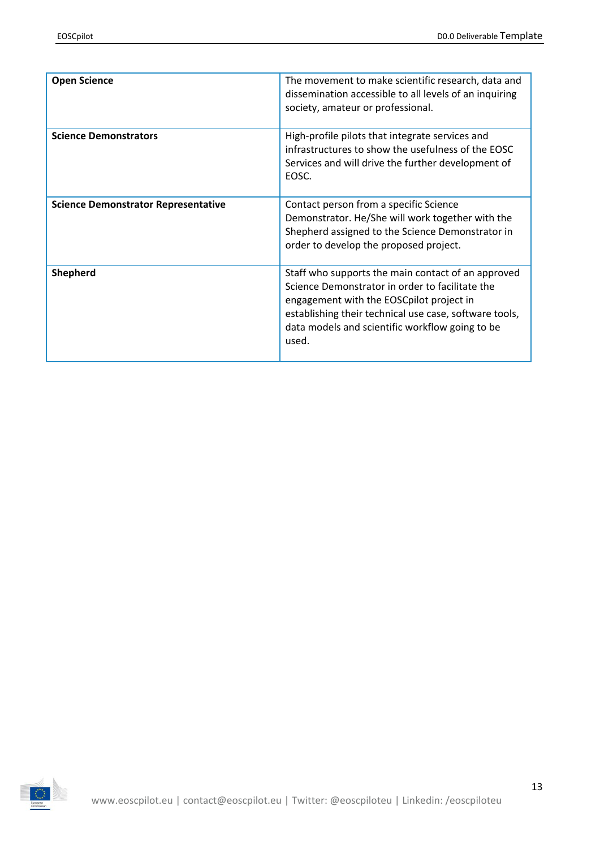| <b>Open Science</b>                        | The movement to make scientific research, data and<br>dissemination accessible to all levels of an inquiring<br>society, amateur or professional.                                                                                                                       |
|--------------------------------------------|-------------------------------------------------------------------------------------------------------------------------------------------------------------------------------------------------------------------------------------------------------------------------|
| <b>Science Demonstrators</b>               | High-profile pilots that integrate services and<br>infrastructures to show the usefulness of the EOSC<br>Services and will drive the further development of<br>EOSC.                                                                                                    |
| <b>Science Demonstrator Representative</b> | Contact person from a specific Science<br>Demonstrator. He/She will work together with the<br>Shepherd assigned to the Science Demonstrator in<br>order to develop the proposed project.                                                                                |
| Shepherd                                   | Staff who supports the main contact of an approved<br>Science Demonstrator in order to facilitate the<br>engagement with the EOSCpilot project in<br>establishing their technical use case, software tools,<br>data models and scientific workflow going to be<br>used. |

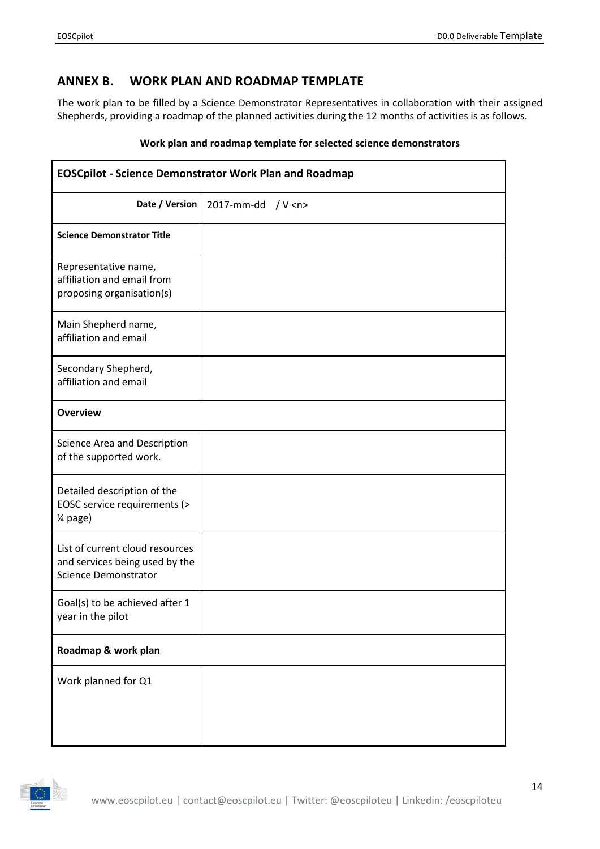### <span id="page-13-0"></span>**ANNEX B. WORK PLAN AND ROADMAP TEMPLATE**

The work plan to be filled by a Science Demonstrator Representatives in collaboration with their assigned Shepherds, providing a roadmap of the planned activities during the 12 months of activities is as follows.

#### **Work plan and roadmap template for selected science demonstrators**

| <b>EOSCpilot - Science Demonstrator Work Plan and Roadmap</b>                                    |                                         |  |  |
|--------------------------------------------------------------------------------------------------|-----------------------------------------|--|--|
| Date / Version                                                                                   | 2017-mm-dd $\frac{\sqrt{v}}{v}$ <n></n> |  |  |
| <b>Science Demonstrator Title</b>                                                                |                                         |  |  |
| Representative name,<br>affiliation and email from<br>proposing organisation(s)                  |                                         |  |  |
| Main Shepherd name,<br>affiliation and email                                                     |                                         |  |  |
| Secondary Shepherd,<br>affiliation and email                                                     |                                         |  |  |
| <b>Overview</b>                                                                                  |                                         |  |  |
| Science Area and Description<br>of the supported work.                                           |                                         |  |  |
| Detailed description of the<br>EOSC service requirements (><br>1⁄4 page)                         |                                         |  |  |
| List of current cloud resources<br>and services being used by the<br><b>Science Demonstrator</b> |                                         |  |  |
| Goal(s) to be achieved after 1<br>year in the pilot                                              |                                         |  |  |
| Roadmap & work plan                                                                              |                                         |  |  |
| Work planned for Q1                                                                              |                                         |  |  |

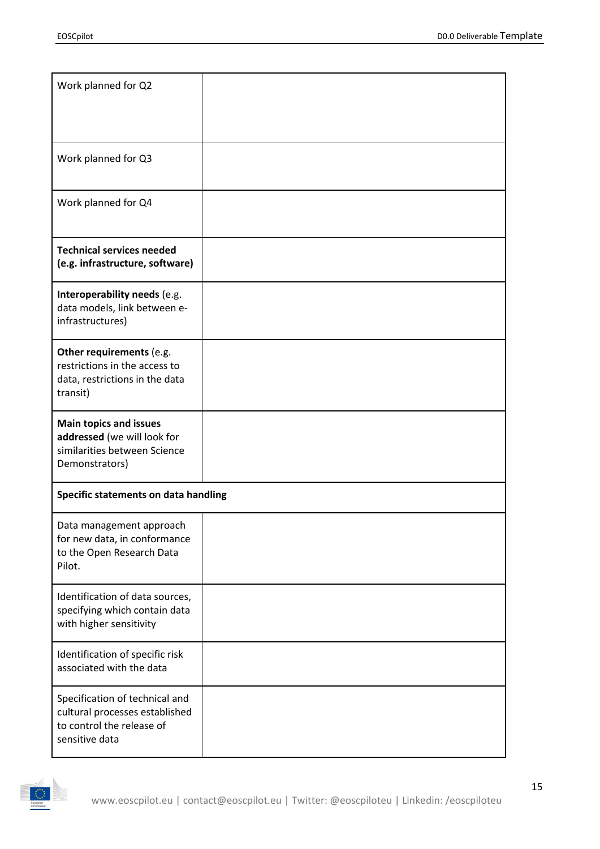| Work planned for Q2                                                                                             |  |  |
|-----------------------------------------------------------------------------------------------------------------|--|--|
| Work planned for Q3                                                                                             |  |  |
| Work planned for Q4                                                                                             |  |  |
| <b>Technical services needed</b><br>(e.g. infrastructure, software)                                             |  |  |
| Interoperability needs (e.g.<br>data models, link between e-<br>infrastructures)                                |  |  |
| Other requirements (e.g.<br>restrictions in the access to<br>data, restrictions in the data<br>transit)         |  |  |
| <b>Main topics and issues</b><br>addressed (we will look for<br>similarities between Science<br>Demonstrators)  |  |  |
| Specific statements on data handling                                                                            |  |  |
| Data management approach<br>for new data, in conformance<br>to the Open Research Data<br>Pilot.                 |  |  |
| Identification of data sources,<br>specifying which contain data<br>with higher sensitivity                     |  |  |
| Identification of specific risk<br>associated with the data                                                     |  |  |
| Specification of technical and<br>cultural processes established<br>to control the release of<br>sensitive data |  |  |

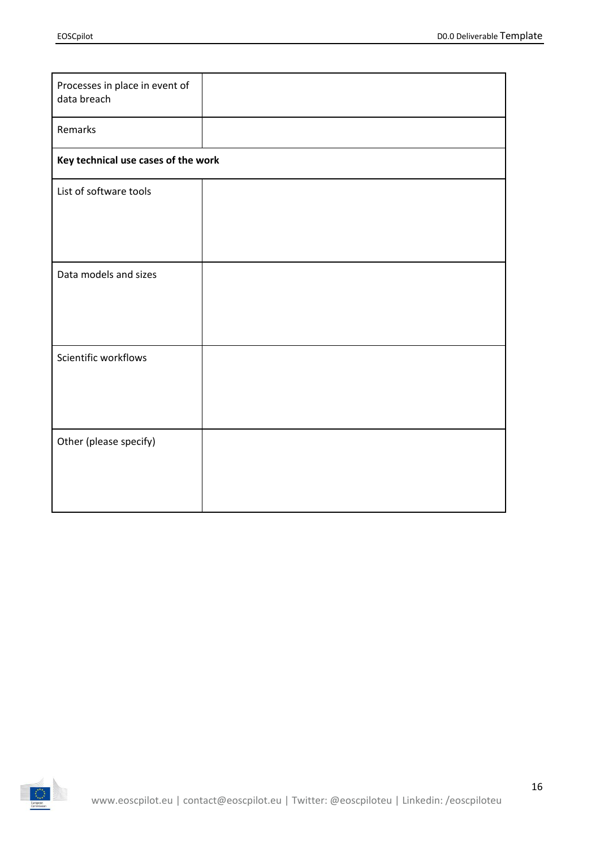| Processes in place in event of<br>data breach |  |
|-----------------------------------------------|--|
| Remarks                                       |  |
| Key technical use cases of the work           |  |
| List of software tools                        |  |
| Data models and sizes                         |  |
| Scientific workflows                          |  |
| Other (please specify)                        |  |

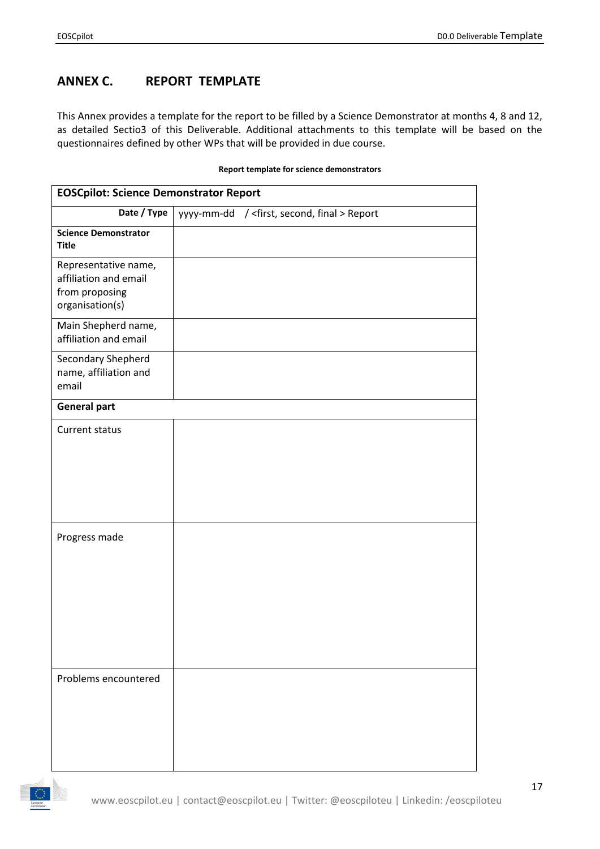# <span id="page-16-0"></span>**ANNEX C. REPORT TEMPLATE**

This Annex provides a template for the report to be filled by a Science Demonstrator at months 4, 8 and 12, as detailed Sectio3 of this Deliverable. Additional attachments to this template will be based on the questionnaires defined by other WPs that will be provided in due course.

#### **Report template for science demonstrators**

| <b>EOSCpilot: Science Demonstrator Report</b>                                      |  |                                                           |
|------------------------------------------------------------------------------------|--|-----------------------------------------------------------|
| Date / Type                                                                        |  | yyyy-mm-dd / <first, final="" second,=""> Report</first,> |
| <b>Science Demonstrator</b><br><b>Title</b>                                        |  |                                                           |
| Representative name,<br>affiliation and email<br>from proposing<br>organisation(s) |  |                                                           |
| Main Shepherd name,<br>affiliation and email                                       |  |                                                           |
| Secondary Shepherd<br>name, affiliation and<br>email                               |  |                                                           |
| <b>General part</b>                                                                |  |                                                           |
| Current status                                                                     |  |                                                           |
| Progress made                                                                      |  |                                                           |
| Problems encountered                                                               |  |                                                           |